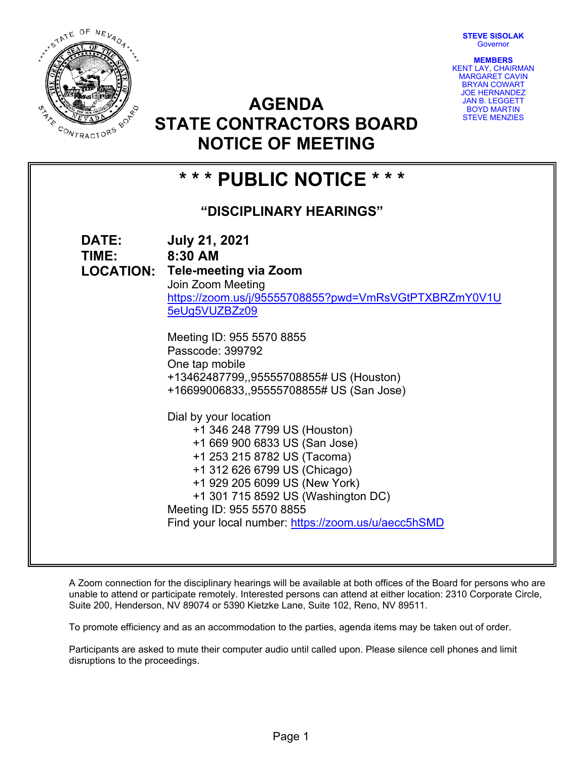**STEVE SISOLAK Governor** 



**MEMBERS**  KENT LAY, CHAIRMAN MARGARET CAVIN BRYAN COWART JOE HERNANDEZ JAN B. LEGGETT BOYD MARTIN STEVE MENZIES

# **AGENDA STATE CONTRACTORS BOARD NOTICE OF MEETING**

## **\* \* \* PUBLIC NOTICE \* \* \* "DISCIPLINARY HEARINGS" DATE: July 21, 2021 TIME: 8:30 AM LOCATION: Tele-meeting via Zoom**  Join Zoom Meeting https://zoom.us/j/95555708855?pwd=VmRsVGtPTXBRZmY0V1U 5eUg5VUZBZz09 Meeting ID: 955 5570 8855 Passcode: 399792 One tap mobile +13462487799,,95555708855# US (Houston) +16699006833,,95555708855# US (San Jose) Dial by your location +1 346 248 7799 US (Houston) +1 669 900 6833 US (San Jose) +1 253 215 8782 US (Tacoma) +1 312 626 6799 US (Chicago) +1 929 205 6099 US (New York) +1 301 715 8592 US (Washington DC) Meeting ID: 955 5570 8855 Find your local number: https://zoom.us/u/aecc5hSMD

A Zoom connection for the disciplinary hearings will be available at both offices of the Board for persons who are unable to attend or participate remotely. Interested persons can attend at either location: 2310 Corporate Circle, Suite 200, Henderson, NV 89074 or 5390 Kietzke Lane, Suite 102, Reno, NV 89511.

To promote efficiency and as an accommodation to the parties, agenda items may be taken out of order.

Participants are asked to mute their computer audio until called upon. Please silence cell phones and limit disruptions to the proceedings.